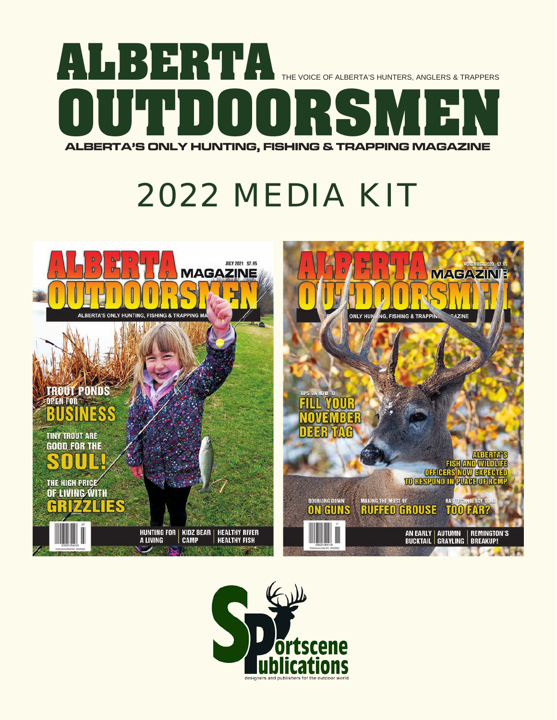

# *2022 MEDIA KIT*



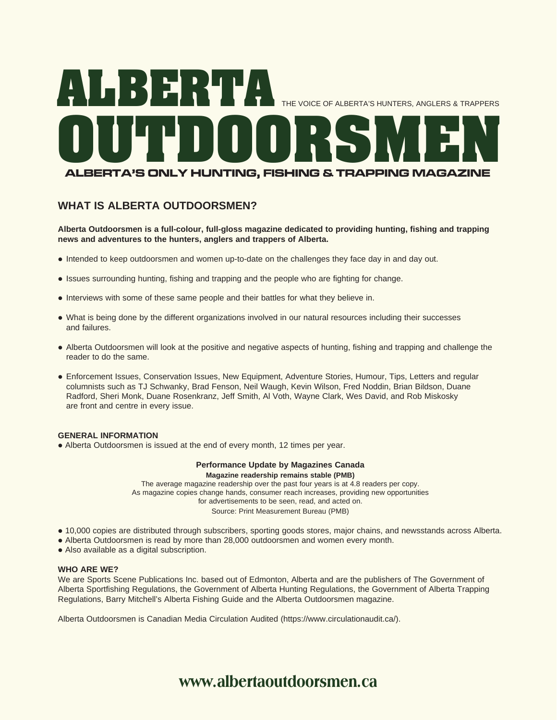

## **WHAT IS ALBERTA OUTDOORSMEN?**

**Alberta Outdoorsmen is a full-colour, full-gloss magazine dedicated to providing hunting, fishing and trapping news and adventures to the hunters, anglers and trappers of Alberta.**

- Intended to keep outdoorsmen and women up-to-date on the challenges they face day in and day out.
- Issues surrounding hunting, fishing and trapping and the people who are fighting for change.
- Interviews with some of these same people and their battles for what they believe in.
- What is being done by the different organizations involved in our natural resources including their successes and failures.
- Alberta Outdoorsmen will look at the positive and negative aspects of hunting, fishing and trapping and challenge the reader to do the same.
- Enforcement Issues, Conservation Issues, New Equipment, Adventure Stories, Humour, Tips, Letters and regular columnists such as TJ Schwanky, Brad Fenson, Neil Waugh, Kevin Wilson, Fred Noddin, Brian Bildson, Duane Radford, Sheri Monk, Duane Rosenkranz, Jeff Smith, Al Voth, Wayne Clark, Wes David, and Rob Miskosky are front and centre in every issue.

#### **GENERAL INFORMATION**

• Alberta Outdoorsmen is issued at the end of every month, 12 times per year.

## **Performance Update by Magazines Canada**

**Magazine readership remains stable (PMB)**

The average magazine readership over the past four years is at 4.8 readers per copy. As magazine copies change hands, consumer reach increases, providing new opportunities for advertisements to be seen, read, and acted on. Source: Print Measurement Bureau (PMB)

- l 10,000 copies are distributed through subscribers, sporting goods stores, major chains, and newsstands across Alberta.
- Alberta Outdoorsmen is read by more than 28,000 outdoorsmen and women every month.
- Also available as a digital subscription.

#### **WHO ARE WE?**

We are Sports Scene Publications Inc. based out of Edmonton, Alberta and are the publishers of The Government of Alberta Sportfishing Regulations, the Government of Alberta Hunting Regulations, the Government of Alberta Trapping Regulations, Barry Mitchell's Alberta Fishing Guide and the Alberta Outdoorsmen magazine.

Alberta Outdoorsmen is Canadian Media Circulation Audited (https://www.circulationaudit.ca/).

## **www.albertaoutdoorsmen.ca**